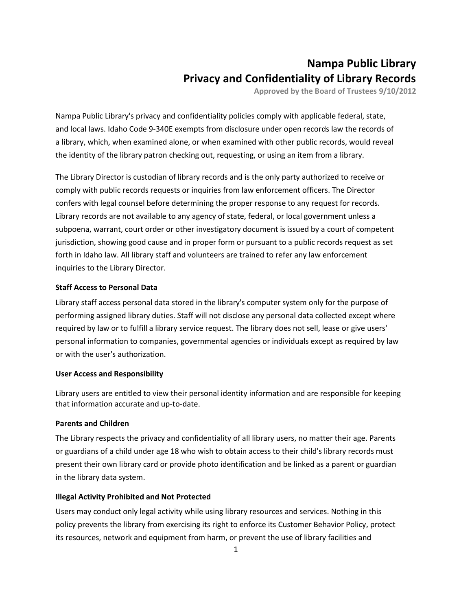# **Nampa Public Library Privacy and Confidentiality of Library Records**

**Approved by the Board of Trustees 9/10/2012**

Nampa Public Library's privacy and confidentiality policies comply with applicable federal, state, and local laws. Idaho Code 9-340E exempts from disclosure under open records law the records of a library, which, when examined alone, or when examined with other public records, would reveal the identity of the library patron checking out, requesting, or using an item from a library.

The Library Director is custodian of library records and is the only party authorized to receive or comply with public records requests or inquiries from law enforcement officers. The Director confers with legal counsel before determining the proper response to any request for records. Library records are not available to any agency of state, federal, or local government unless a subpoena, warrant, court order or other investigatory document is issued by a court of competent jurisdiction, showing good cause and in proper form or pursuant to a public records request as set forth in Idaho law. All library staff and volunteers are trained to refer any law enforcement inquiries to the Library Director.

## **Staff Access to Personal Data**

Library staff access personal data stored in the library's computer system only for the purpose of performing assigned library duties. Staff will not disclose any personal data collected except where required by law or to fulfill a library service request. The library does not sell, lease or give users' personal information to companies, governmental agencies or individuals except as required by law or with the user's authorization.

### **User Access and Responsibility**

Library users are entitled to view their personal identity information and are responsible for keeping that information accurate and up-to-date.

### **Parents and Children**

The Library respects the privacy and confidentiality of all library users, no matter their age. Parents or guardians of a child under age 18 who wish to obtain access to their child's library records must present their own library card or provide photo identification and be linked as a parent or guardian in the library data system.

### **Illegal Activity Prohibited and Not Protected**

Users may conduct only legal activity while using library resources and services. Nothing in this policy prevents the library from exercising its right to enforce its Customer Behavior Policy, protect its resources, network and equipment from harm, or prevent the use of library facilities and